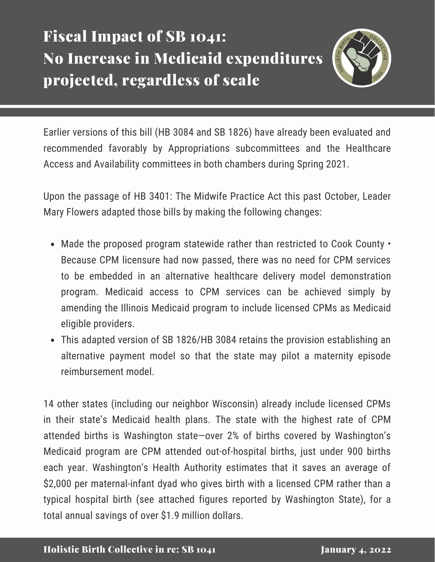## Fiscal Impact of SB 1041: No Increase in Medicaid expenditures projected, regardless of scale



Earlier versions of this bill (HB 3084 and SB 1826) have already been evaluated and recommended favorably by Appropriations subcommittees and the Healthcare Access and Availability committees in both chambers during Spring 2021.

Upon the passage of HB 3401: The Midwife Practice Act this past October, Leader Mary Flowers adapted those bills by making the following changes:

- Made the proposed program statewide rather than restricted to Cook County Because CPM licensure had now passed, there was no need for CPM services to be embedded in an alternative healthcare delivery model demonstration program. Medicaid access to CPM services can be achieved simply by amending the Illinois Medicaid program to include licensed CPMs as Medicaid eligible providers.
- This adapted version of SB 1826/HB 3084 retains the provision establishing an alternative payment model so that the state may pilot a maternity episode reimbursement model.

14 other states (including our neighbor Wisconsin) already include licensed CPMs in their state's Medicaid health plans. The state with the highest rate of CPM attended births is Washington state—over 2% of births covered by Washington's Medicaid program are CPM attended out-of-hospital births, just under 900 births each year. Washington's Health Authority estimates that it saves an average of \$2,000 per maternal-infant dyad who gives birth with a licensed CPM rather than a typical hospital birth (see attached figures reported by Washington State), for a total annual savings of over \$1.9 million dollars.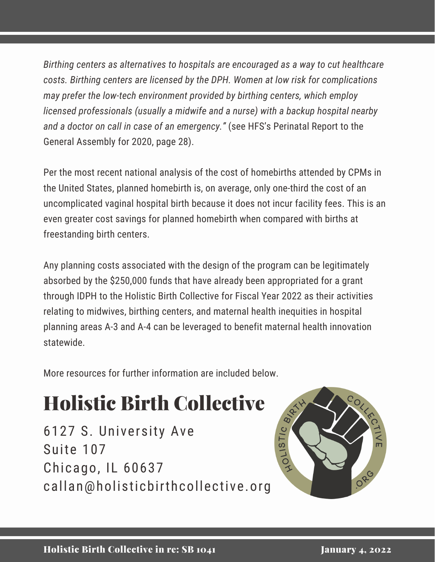*Birthing centers as alternatives to hospitals are encouraged as a way to cut healthcare costs. Birthing centers are licensed by the DPH. Women at low risk for complications may prefer the low-tech environment provided by birthing centers, which employ licensed professionals (usually a midwife and a nurse) with a backup hospital nearby and a doctor on call in case of an [emergency."](https://www2.illinois.gov/hfs/SiteCollectionDocuments/HFSPerinatalReport2020.pdf)* (see HFS's Perinatal Report to the General Assembly for 2020, page 28).

Per the most recent national analysis of the cost of homebirths attended by CPMs in the United States, planned homebirth is, on average, only one-third the cost of an uncomplicated vaginal hospital birth because it does not incur facility fees. This is an even greater cost savings for planned homebirth when compared with births at freestanding birth centers.

Any planning costs associated with the design of the program can be legitimately absorbed by the \$250,000 funds that have already been appropriated for a grant through IDPH to the Holistic Birth Collective for Fiscal Year 2022 as their activities relating to midwives, birthing centers, and maternal health inequities in hospital planning areas A-3 and A-4 can be leveraged to benefit maternal health innovation statewide.

More resources for further information are included below.

# Holistic Birth Collective

6127 S. University Ave Suite 107 Chicago, IL 60637 callan@holisticbirthcollective.org

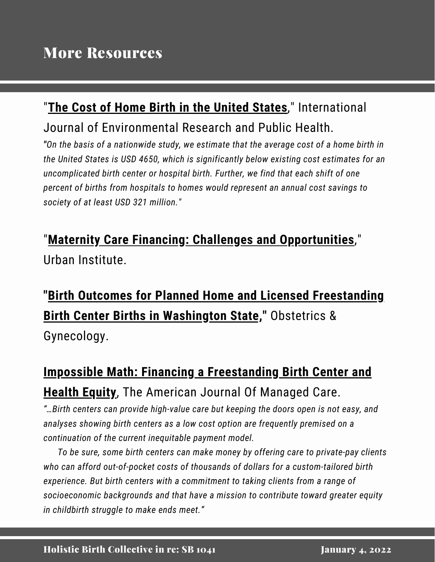#### "**The Cost of Home Birth in the [United](https://pubmed.ncbi.nlm.nih.gov/34639661/) States**," International Journal of Environmental Research and Public Health.

*"On the basis of a nationwide study, we estimate that the average cost of a home birth in the United States is USD 4650, which is significantly below existing cost estimates for an uncomplicated birth center or hospital birth. Further, we find that each shift of one percent of births from hospitals to homes would represent an annual cost savings to society of at least USD 321 million."*

#### "**Maternity Care Financing: Challenges and [Opportunities](https://www.urban.org/sites/default/files/publication/103127/maternity-care-financing-challenges-and-opportunities-highlighted-by-the-covid-19-pandemic_4.pdf)**," Urban Institute.

### **"Birth Outcomes for Planned Home and Licensed [Freestanding](https://journals.lww.com/greenjournal/fulltext/2021/11000/birth_outcomes_for_planned_home_and_licensed.2.aspx) Birth Center Births in Washington State, "** Obstetrics & Gynecology.

#### **Impossible Math: Financing a [Freestanding](https://www.ajmc.com/view/impossible-math-financing-a-freestanding-birth-center-and-supporting-health-equity) Birth Center and Health Equity**, The American Journal Of Managed Care.

*"…Birth centers can provide high-value care but keeping the doors open is not easy, and analyses showing birth centers as a low cost option are frequently premised on a continuation of the current inequitable payment model.*

*To be sure, some birth centers can make money by offering care to private-pay clients who can afford out-of-pocket costs of thousands of dollars for a custom-tailored birth experience. But birth centers with a commitment to taking clients from a range of socioeconomic backgrounds and that have a mission to contribute toward greater equity in childbirth struggle to make ends meet."*